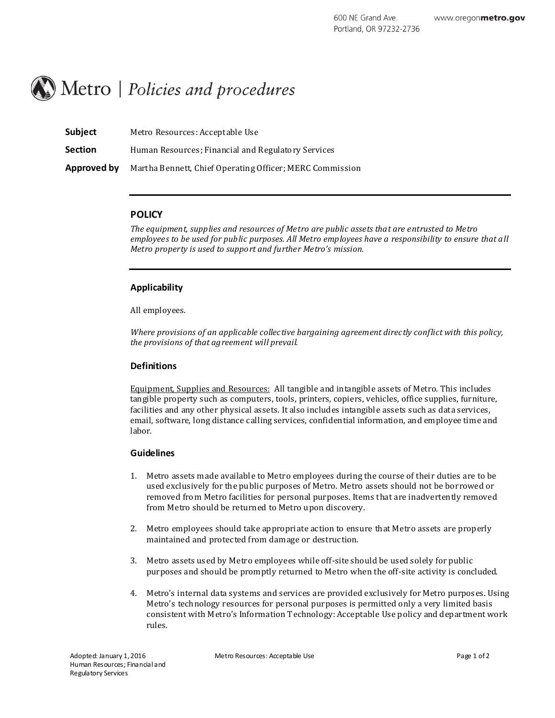# Metro | Policies and procedures

| <b>Subject</b> | Metro Resources: Acceptable Use                          |
|----------------|----------------------------------------------------------|
| <b>Section</b> | Human Resources; Financial and Regulatory Services       |
| Approved by    | Martha Bennett, Chief Operating Officer; MERC Commission |

#### **POLICY**

*The equipment, supplies and resources of Metro are public assets that are entrusted to Metro employees to be used for public purposes. All Metro employees have a responsibility to ensure that all Metro property is used to support and further Metro's mission.*

#### **Applicability**

All employees.

*Where provisions of an applicable collective bargaining agreement directly conflict with this policy, the provisions of that agreement will prevail.*

# **Definitions**

Equipment, Supplies and Resources: All tangible and intangibl e assets of Metro. This includes tangible property such as computers, tools, printers, copiers, vehicles, office supplies, furniture, facilities and any other physical assets. It also includes intangibl e assets such as data services, email, software, long distance calling services, confidential information, and employee time and labor.

# **Guidelines**

- 1. Metro assets made availabl e to Metro employees during the course of their duties are to be used exclusively for the public purposes of Metro. Metro assets should not be borrowed or removed from Metro facilities for personal purposes. Items that are inadvertently removed from Metro should be returned to Metro upon discovery.
- 2. Metro employees should take appropriate action to ensure that Metro assets are properly maintained and protected from damage or destruction.
- 3. Metro assets used by Metro employees while off-site should be used solely for public purposes and should be promptly returned to Metro when the off-site activity is concluded.
- 4. Metro's internal data systems and services are provided exclusively for Metro purposes. Using Metro's technology resources for personal purposes is permitted only a very limited basis consistent with Metro's Information Technology: Acceptable Use policy and department work rules.